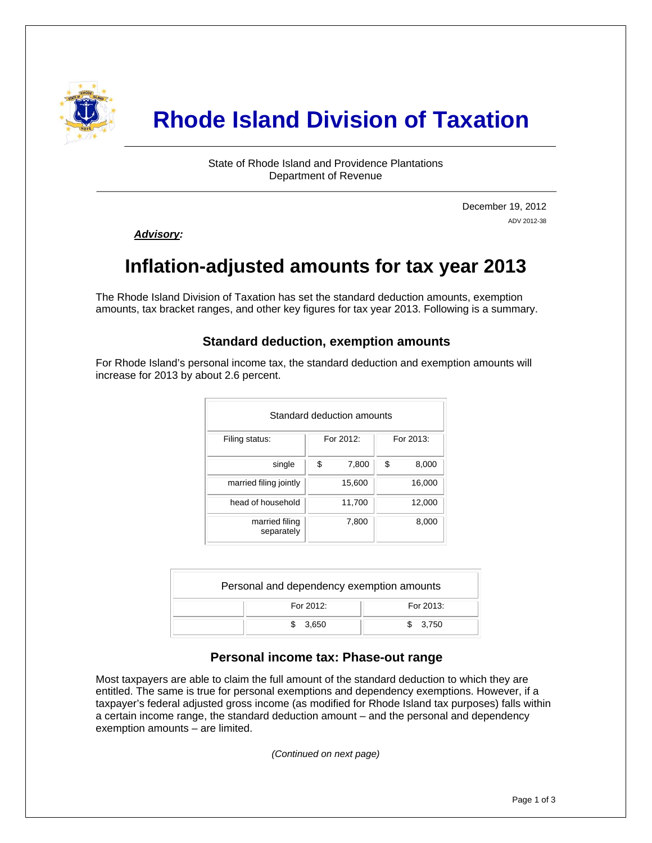

# **Rhode Island Division of Taxation**

State of Rhode Island and Providence Plantations Department of Revenue

> December 19, 2012 ADV 2012-38

*Advisory:* 

i

# **Inflation-adjusted amounts for tax year 2013**

The Rhode Island Division of Taxation has set the standard deduction amounts, exemption amounts, tax bracket ranges, and other key figures for tax year 2013. Following is a summary.

### **Standard deduction, exemption amounts**

For Rhode Island's personal income tax, the standard deduction and exemption amounts will increase for 2013 by about 2.6 percent.

|                              | Standard deduction amounts |             |
|------------------------------|----------------------------|-------------|
| Filing status:               | For 2012:                  | For 2013:   |
| single                       | \$<br>7,800                | \$<br>8,000 |
| married filing jointly       | 15,600                     | 16,000      |
| head of household            | 11,700                     | 12,000      |
| married filing<br>separately | 7,800                      | 8,000       |

| Personal and dependency exemption amounts |           |
|-------------------------------------------|-----------|
| For 2012:                                 | For 2013: |
| 3,650                                     | \$3.750   |

#### **Personal income tax: Phase-out range**

Most taxpayers are able to claim the full amount of the standard deduction to which they are entitled. The same is true for personal exemptions and dependency exemptions. However, if a taxpayer's federal adjusted gross income (as modified for Rhode Island tax purposes) falls within a certain income range, the standard deduction amount – and the personal and dependency exemption amounts – are limited.

*(Continued on next page)*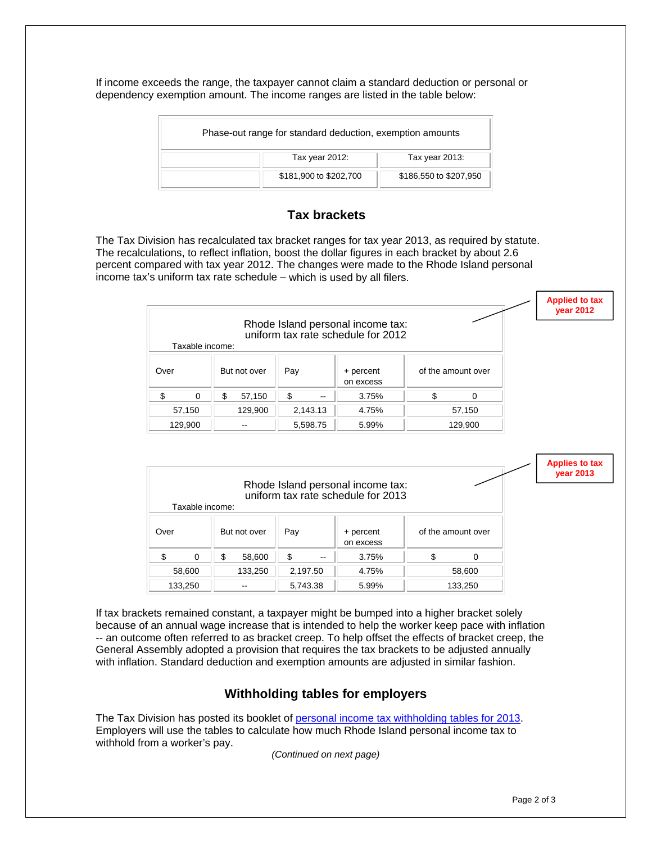If income exceeds the range, the taxpayer cannot claim a standard deduction or personal or dependency exemption amount. The income ranges are listed in the table below:

| Phase-out range for standard deduction, exemption amounts |                        |
|-----------------------------------------------------------|------------------------|
| Tax year 2012:                                            | Tax year 2013:         |
| \$181,900 to \$202,700                                    | \$186,550 to \$207,950 |

# **Tax brackets**

The Tax Division has recalculated tax bracket ranges for tax year 2013, as required by statute. The recalculations, to reflect inflation, boost the dollar figures in each bracket by about 2.6 percent compared with tax year 2012. The changes were made to the Rhode Island personal income tax's uniform tax rate schedule – which is used by all filers.

|         |                 |   |                          |     |                          |                                                                         |                    | <b>Applied to tax</b><br>$year$ 2012 |
|---------|-----------------|---|--------------------------|-----|--------------------------|-------------------------------------------------------------------------|--------------------|--------------------------------------|
|         | Taxable income: |   |                          |     |                          | Rhode Island personal income tax:<br>uniform tax rate schedule for 2012 |                    |                                      |
| Over    |                 |   | But not over             | Pay |                          | + percent<br>on excess                                                  | of the amount over |                                      |
| \$      | $\Omega$        | S | 57,150                   | \$. | $\overline{\phantom{a}}$ | 3.75%                                                                   | \$<br>$\Omega$     |                                      |
| 57,150  |                 |   | 129,900                  |     | 2,143.13                 | 4.75%                                                                   | 57,150             |                                      |
| 129,900 |                 |   | $\overline{\phantom{m}}$ |     | 5,598.75                 | 5.99%                                                                   | 129,900            |                                      |

|         |                 |              |          |       |                                                                         |                    | <b>Applies to tax</b><br><b>vear 2013</b> |
|---------|-----------------|--------------|----------|-------|-------------------------------------------------------------------------|--------------------|-------------------------------------------|
|         |                 |              |          |       | Rhode Island personal income tax:<br>uniform tax rate schedule for 2013 |                    |                                           |
|         | Taxable income: |              |          |       |                                                                         |                    |                                           |
| Over    |                 | But not over | Pay      |       | + percent<br>on excess                                                  | of the amount over |                                           |
| \$      | $\Omega$        | \$<br>58,600 | \$       | $- -$ | 3.75%                                                                   | \$<br>0            |                                           |
| 58,600  |                 | 133,250      | 2,197.50 |       | 4.75%                                                                   | 58,600             |                                           |
| 133,250 |                 | --           | 5,743.38 |       | 5.99%                                                                   | 133,250            |                                           |

If tax brackets remained constant, a taxpayer might be bumped into a higher bracket solely because of an annual wage increase that is intended to help the worker keep pace with inflation -- an outcome often referred to as bracket creep. To help offset the effects of bracket creep, the General Assembly adopted a provision that requires the tax brackets to be adjusted annually with inflation. Standard deduction and exemption amounts are adjusted in similar fashion.

# **Withholding tables for employers**

The Tax Division has posted its booklet of [personal income tax withholding tables for 2013.](http://www.tax.ri.gov/forms/2013/Withholding/2013%20RI%20Employer) Employers will use the tables to calculate how much Rhode Island personal income tax to withhold from a worker's pay.

*(Continued on next page)*